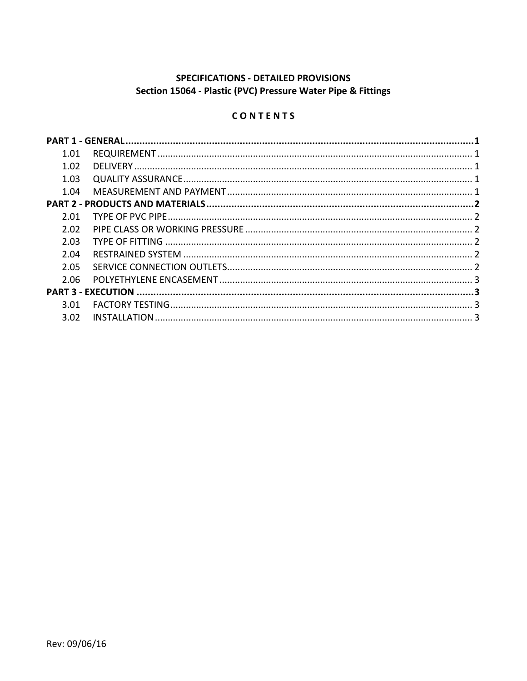# SPECIFICATIONS - DETAILED PROVISIONS Section 15064 - Plastic (PVC) Pressure Water Pipe & Fittings

## CONTENTS

| 1.01<br>1.02<br>1.03<br>1.04<br>2.01<br>2.02<br>2.03<br>2.04<br>2.05<br>2.06<br>3.01<br>3.02 |  |  |  |  |
|----------------------------------------------------------------------------------------------|--|--|--|--|
|                                                                                              |  |  |  |  |
|                                                                                              |  |  |  |  |
|                                                                                              |  |  |  |  |
|                                                                                              |  |  |  |  |
|                                                                                              |  |  |  |  |
|                                                                                              |  |  |  |  |
|                                                                                              |  |  |  |  |
|                                                                                              |  |  |  |  |
|                                                                                              |  |  |  |  |
|                                                                                              |  |  |  |  |
|                                                                                              |  |  |  |  |
|                                                                                              |  |  |  |  |
|                                                                                              |  |  |  |  |
|                                                                                              |  |  |  |  |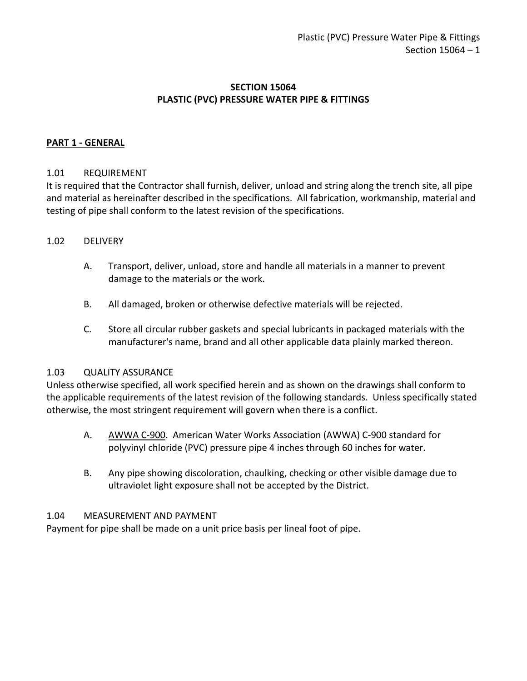## **SECTION 15064 PLASTIC (PVC) PRESSURE WATER PIPE & FITTINGS**

### <span id="page-2-0"></span>**PART 1 - GENERAL**

#### <span id="page-2-1"></span>1.01 REQUIREMENT

It is required that the Contractor shall furnish, deliver, unload and string along the trench site, all pipe and material as hereinafter described in the specifications. All fabrication, workmanship, material and testing of pipe shall conform to the latest revision of the specifications.

#### <span id="page-2-2"></span>1.02 DELIVERY

- A. Transport, deliver, unload, store and handle all materials in a manner to prevent damage to the materials or the work.
- B. All damaged, broken or otherwise defective materials will be rejected.
- C. Store all circular rubber gaskets and special lubricants in packaged materials with the manufacturer's name, brand and all other applicable data plainly marked thereon.

#### <span id="page-2-3"></span>1.03 QUALITY ASSURANCE

Unless otherwise specified, all work specified herein and as shown on the drawings shall conform to the applicable requirements of the latest revision of the following standards. Unless specifically stated otherwise, the most stringent requirement will govern when there is a conflict.

- A. AWWA C-900. American Water Works Association (AWWA) C-900 standard for polyvinyl chloride (PVC) pressure pipe 4 inches through 60 inches for water.
- B. Any pipe showing discoloration, chaulking, checking or other visible damage due to ultraviolet light exposure shall not be accepted by the District.

#### <span id="page-2-4"></span>1.04 MEASUREMENT AND PAYMENT

Payment for pipe shall be made on a unit price basis per lineal foot of pipe.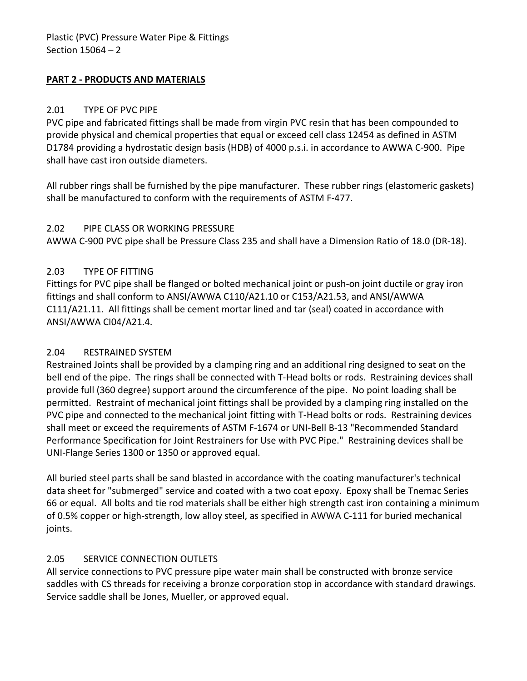## <span id="page-3-0"></span>**PART 2 - PRODUCTS AND MATERIALS**

### <span id="page-3-1"></span>2.01 TYPE OF PVC PIPE

PVC pipe and fabricated fittings shall be made from virgin PVC resin that has been compounded to provide physical and chemical properties that equal or exceed cell class 12454 as defined in ASTM D1784 providing a hydrostatic design basis (HDB) of 4000 p.s.i. in accordance to AWWA C-900. Pipe shall have cast iron outside diameters.

All rubber rings shall be furnished by the pipe manufacturer. These rubber rings (elastomeric gaskets) shall be manufactured to conform with the requirements of ASTM F-477.

#### <span id="page-3-2"></span>2.02 PIPE CLASS OR WORKING PRESSURE

AWWA C-900 PVC pipe shall be Pressure Class 235 and shall have a Dimension Ratio of 18.0 (DR-18).

## <span id="page-3-3"></span>2.03 TYPE OF FITTING

Fittings for PVC pipe shall be flanged or bolted mechanical joint or push-on joint ductile or gray iron fittings and shall conform to ANSI/AWWA C110/A21.10 or C153/A21.53, and ANSI/AWWA C111/A21.11. All fittings shall be cement mortar lined and tar (seal) coated in accordance with ANSI/AWWA CI04/A21.4.

## <span id="page-3-4"></span>2.04 RESTRAINED SYSTEM

Restrained Joints shall be provided by a clamping ring and an additional ring designed to seat on the bell end of the pipe. The rings shall be connected with T-Head bolts or rods. Restraining devices shall provide full (360 degree) support around the circumference of the pipe. No point loading shall be permitted. Restraint of mechanical joint fittings shall be provided by a clamping ring installed on the PVC pipe and connected to the mechanical joint fitting with T-Head bolts or rods. Restraining devices shall meet or exceed the requirements of ASTM F-1674 or UNI-Bell B-13 "Recommended Standard Performance Specification for Joint Restrainers for Use with PVC Pipe." Restraining devices shall be UNI-Flange Series 1300 or 1350 or approved equal.

All buried steel parts shall be sand blasted in accordance with the coating manufacturer's technical data sheet for "submerged" service and coated with a two coat epoxy. Epoxy shall be Tnemac Series 66 or equal. All bolts and tie rod materials shall be either high strength cast iron containing a minimum of 0.5% copper or high-strength, low alloy steel, as specified in AWWA C-111 for buried mechanical joints.

## <span id="page-3-5"></span>2.05 SERVICE CONNECTION OUTLETS

All service connections to PVC pressure pipe water main shall be constructed with bronze service saddles with CS threads for receiving a bronze corporation stop in accordance with standard drawings. Service saddle shall be Jones, Mueller, or approved equal.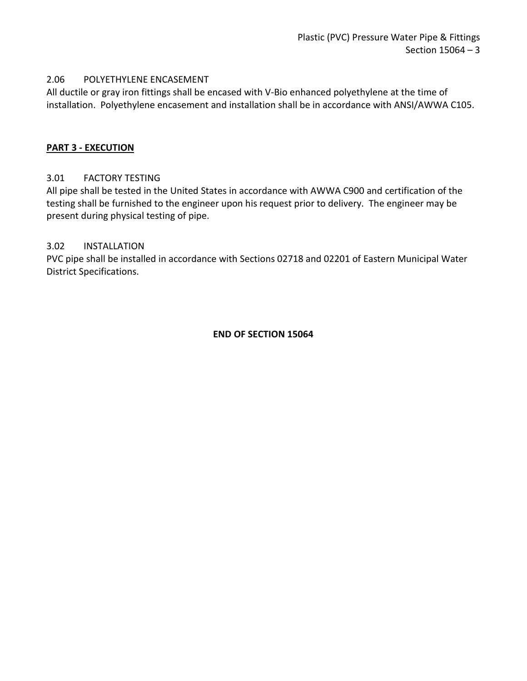#### <span id="page-4-0"></span>2.06 POLYETHYLENE ENCASEMENT

All ductile or gray iron fittings shall be encased with V-Bio enhanced polyethylene at the time of installation. Polyethylene encasement and installation shall be in accordance with ANSI/AWWA C105.

#### <span id="page-4-1"></span>**PART 3 - EXECUTION**

## <span id="page-4-2"></span>3.01 FACTORY TESTING

All pipe shall be tested in the United States in accordance with AWWA C900 and certification of the testing shall be furnished to the engineer upon his request prior to delivery. The engineer may be present during physical testing of pipe.

#### <span id="page-4-3"></span>3.02 INSTALLATION

PVC pipe shall be installed in accordance with Sections 02718 and 02201 of Eastern Municipal Water District Specifications.

#### **END OF SECTION 15064**